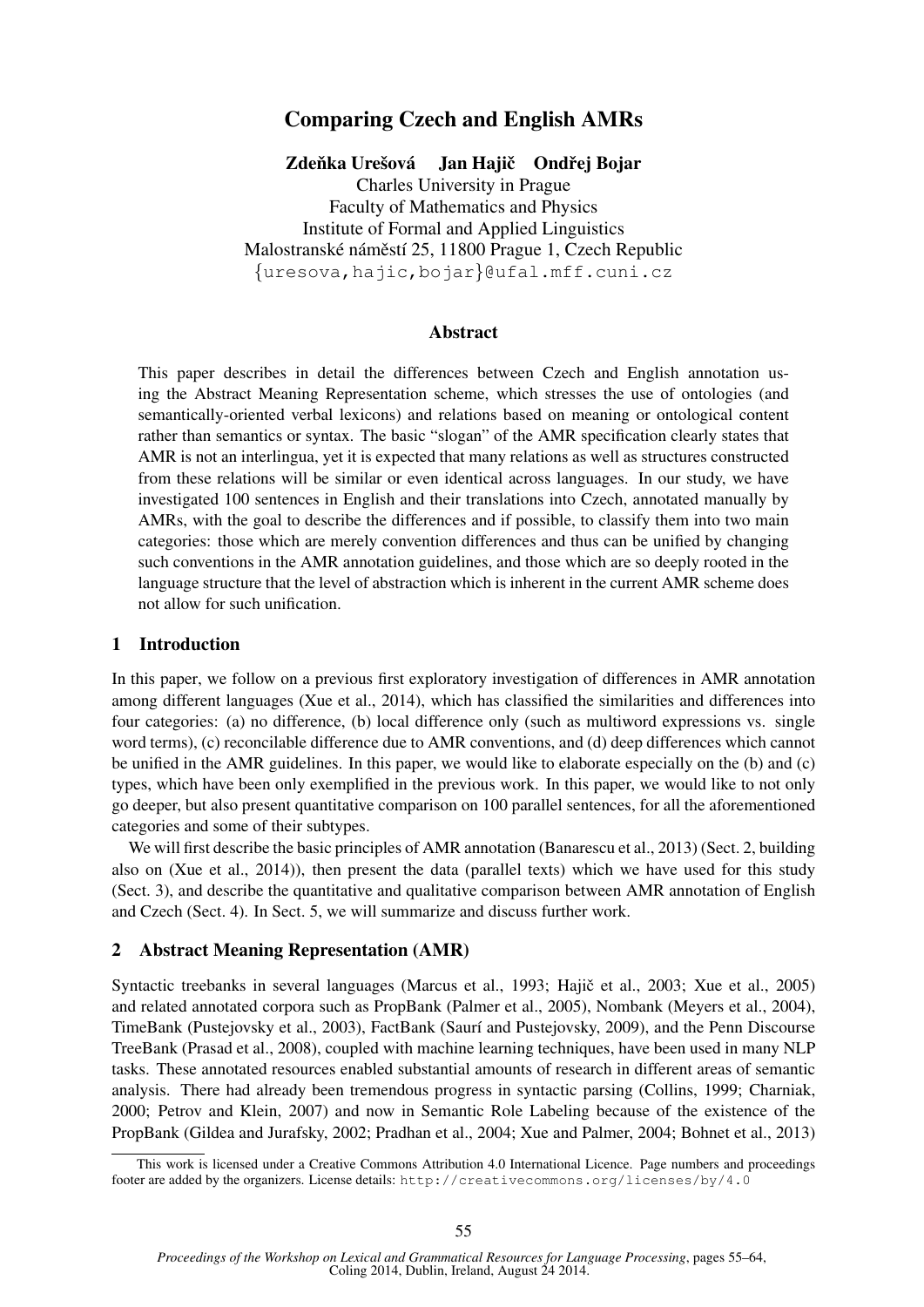# Comparing Czech and English AMRs

Zdeňka Urešová Jan Hajič Ondřej Bojar Charles University in Prague Faculty of Mathematics and Physics Institute of Formal and Applied Linguistics Malostranské náměstí 25, 11800 Prague 1, Czech Republic {uresova,hajic,bojar}@ufal.mff.cuni.cz

# Abstract

This paper describes in detail the differences between Czech and English annotation using the Abstract Meaning Representation scheme, which stresses the use of ontologies (and semantically-oriented verbal lexicons) and relations based on meaning or ontological content rather than semantics or syntax. The basic "slogan" of the AMR specification clearly states that AMR is not an interlingua, yet it is expected that many relations as well as structures constructed from these relations will be similar or even identical across languages. In our study, we have investigated 100 sentences in English and their translations into Czech, annotated manually by AMRs, with the goal to describe the differences and if possible, to classify them into two main categories: those which are merely convention differences and thus can be unified by changing such conventions in the AMR annotation guidelines, and those which are so deeply rooted in the language structure that the level of abstraction which is inherent in the current AMR scheme does not allow for such unification.

### 1 Introduction

In this paper, we follow on a previous first exploratory investigation of differences in AMR annotation among different languages (Xue et al., 2014), which has classified the similarities and differences into four categories: (a) no difference, (b) local difference only (such as multiword expressions vs. single word terms), (c) reconcilable difference due to AMR conventions, and (d) deep differences which cannot be unified in the AMR guidelines. In this paper, we would like to elaborate especially on the (b) and (c) types, which have been only exemplified in the previous work. In this paper, we would like to not only go deeper, but also present quantitative comparison on 100 parallel sentences, for all the aforementioned categories and some of their subtypes.

We will first describe the basic principles of AMR annotation (Banarescu et al., 2013) (Sect. 2, building also on (Xue et al., 2014)), then present the data (parallel texts) which we have used for this study (Sect. 3), and describe the quantitative and qualitative comparison between AMR annotation of English and Czech (Sect. 4). In Sect. 5, we will summarize and discuss further work.

### 2 Abstract Meaning Representation (AMR)

Syntactic treebanks in several languages (Marcus et al., 1993; Hajič et al., 2003; Xue et al., 2005) and related annotated corpora such as PropBank (Palmer et al., 2005), Nombank (Meyers et al., 2004), TimeBank (Pustejovsky et al., 2003), FactBank (Saurí and Pustejovsky, 2009), and the Penn Discourse TreeBank (Prasad et al., 2008), coupled with machine learning techniques, have been used in many NLP tasks. These annotated resources enabled substantial amounts of research in different areas of semantic analysis. There had already been tremendous progress in syntactic parsing (Collins, 1999; Charniak, 2000; Petrov and Klein, 2007) and now in Semantic Role Labeling because of the existence of the PropBank (Gildea and Jurafsky, 2002; Pradhan et al., 2004; Xue and Palmer, 2004; Bohnet et al., 2013)

This work is licensed under a Creative Commons Attribution 4.0 International Licence. Page numbers and proceedings footer are added by the organizers. License details: http://creativecommons.org/licenses/by/4.0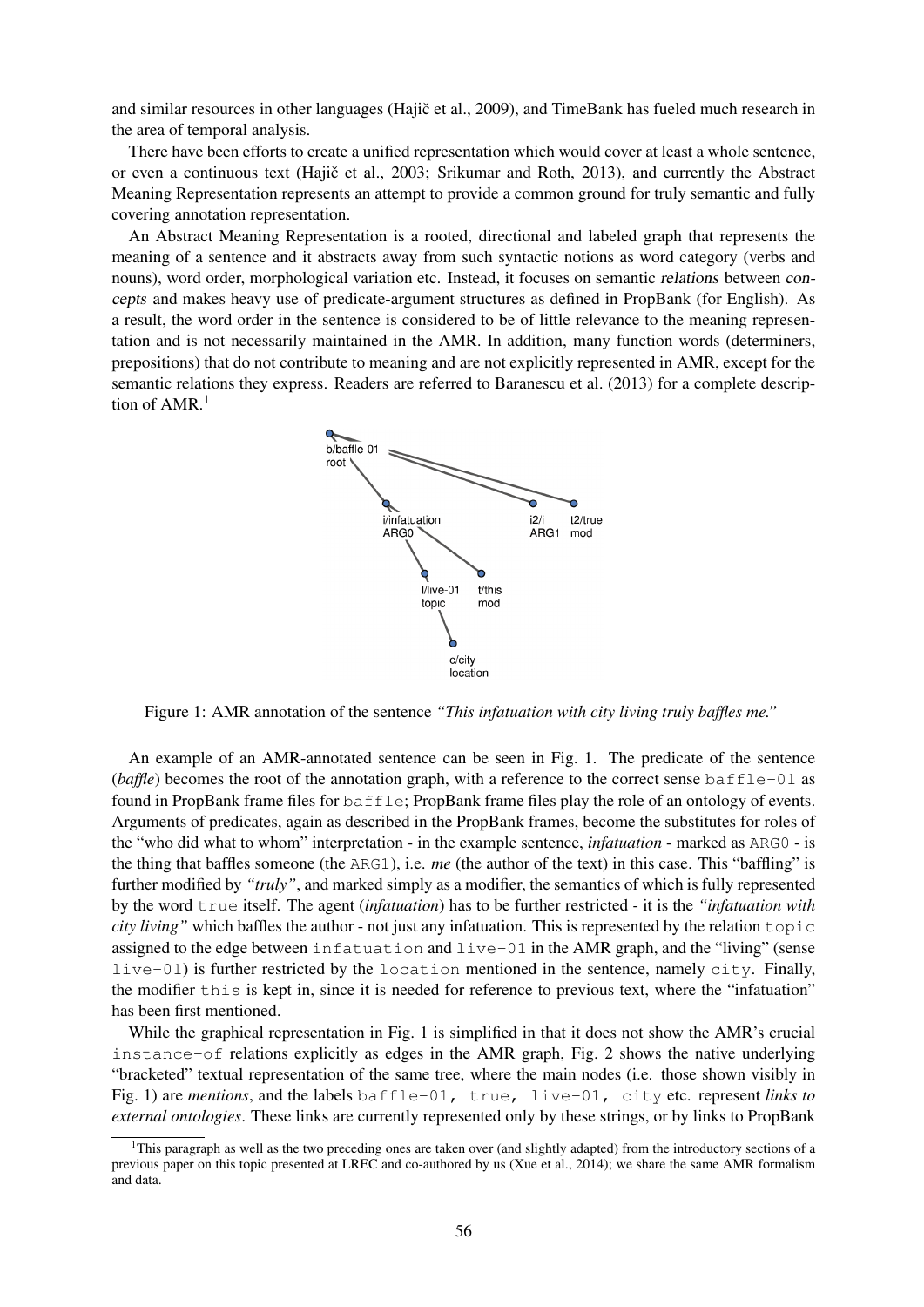and similar resources in other languages (Hajič et al., 2009), and TimeBank has fueled much research in the area of temporal analysis.

There have been efforts to create a unified representation which would cover at least a whole sentence, or even a continuous text (Hajič et al., 2003; Srikumar and Roth, 2013), and currently the Abstract Meaning Representation represents an attempt to provide a common ground for truly semantic and fully covering annotation representation.

An Abstract Meaning Representation is a rooted, directional and labeled graph that represents the meaning of a sentence and it abstracts away from such syntactic notions as word category (verbs and nouns), word order, morphological variation etc. Instead, it focuses on semantic relations between concepts and makes heavy use of predicate-argument structures as defined in PropBank (for English). As a result, the word order in the sentence is considered to be of little relevance to the meaning representation and is not necessarily maintained in the AMR. In addition, many function words (determiners, prepositions) that do not contribute to meaning and are not explicitly represented in AMR, except for the semantic relations they express. Readers are referred to Baranescu et al. (2013) for a complete description of  $AMR$ <sup>1</sup>



Figure 1: AMR annotation of the sentence *"This infatuation with city living truly baffles me."*

An example of an AMR-annotated sentence can be seen in Fig. 1. The predicate of the sentence (*baffle*) becomes the root of the annotation graph, with a reference to the correct sense  $\text{baffle}-01$  as found in PropBank frame files for baffle; PropBank frame files play the role of an ontology of events. Arguments of predicates, again as described in the PropBank frames, become the substitutes for roles of the "who did what to whom" interpretation - in the example sentence, *infatuation* - marked as ARG0 - is the thing that baffles someone (the ARG1), i.e. *me* (the author of the text) in this case. This "baffling" is further modified by *"truly"*, and marked simply as a modifier, the semantics of which is fully represented by the word true itself. The agent (*infatuation*) has to be further restricted - it is the *"infatuation with city living"* which baffles the author - not just any infatuation. This is represented by the relation topic assigned to the edge between infatuation and live-01 in the AMR graph, and the "living" (sense  $\text{live}-01$ ) is further restricted by the location mentioned in the sentence, namely city. Finally, the modifier this is kept in, since it is needed for reference to previous text, where the "infatuation" has been first mentioned.

While the graphical representation in Fig. 1 is simplified in that it does not show the AMR's crucial instance-of relations explicitly as edges in the AMR graph, Fig. 2 shows the native underlying "bracketed" textual representation of the same tree, where the main nodes (i.e. those shown visibly in Fig. 1) are *mentions*, and the labels baffle-01, true, live-01, city etc. represent *links to external ontologies*. These links are currently represented only by these strings, or by links to PropBank

 $1$ This paragraph as well as the two preceding ones are taken over (and slightly adapted) from the introductory sections of a previous paper on this topic presented at LREC and co-authored by us (Xue et al., 2014); we share the same AMR formalism and data.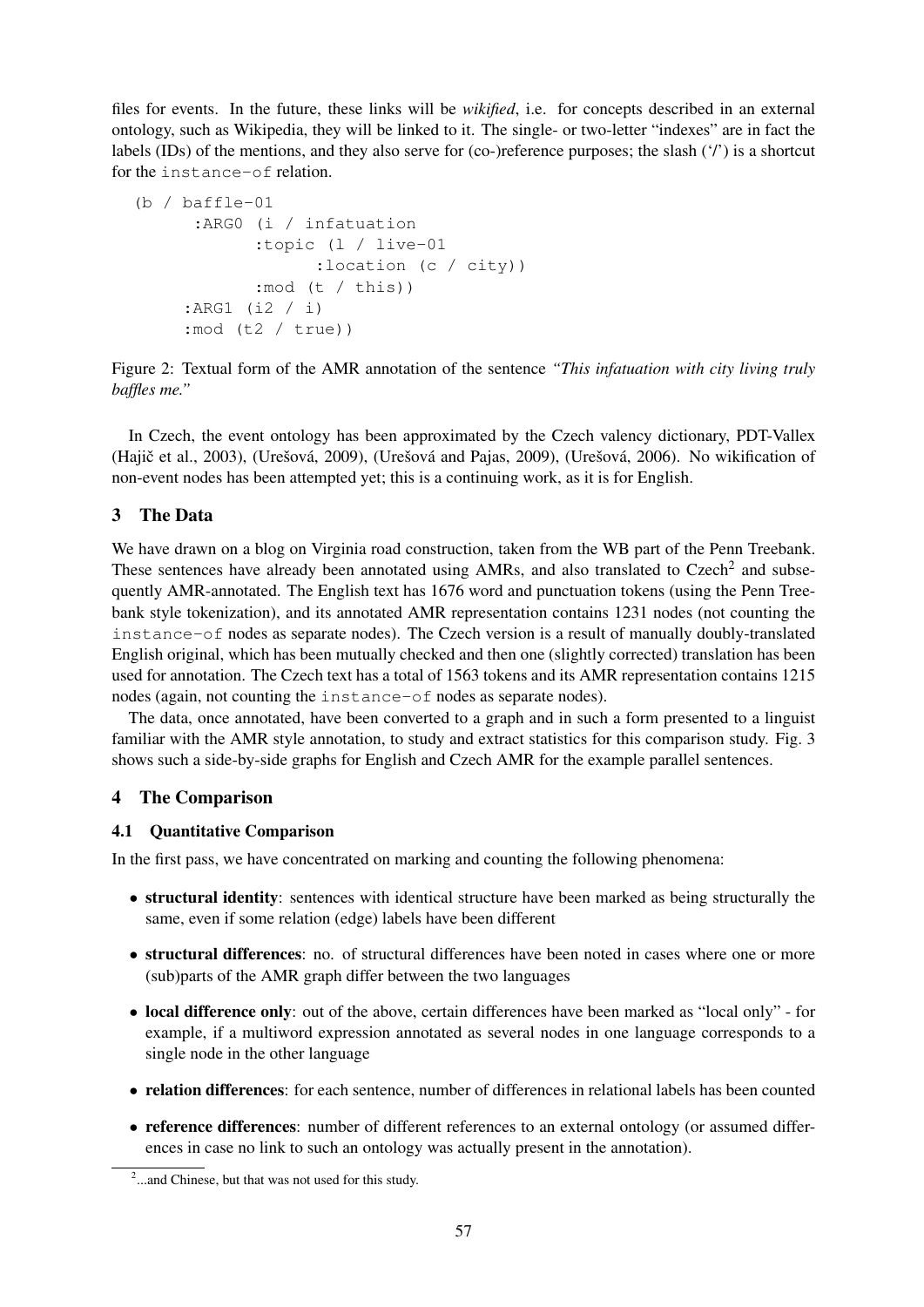files for events. In the future, these links will be *wikified*, i.e. for concepts described in an external ontology, such as Wikipedia, they will be linked to it. The single- or two-letter "indexes" are in fact the labels (IDs) of the mentions, and they also serve for (co-)reference purposes; the slash ('/') is a shortcut for the instance-of relation.

```
(b / baffle-01
 :ARG0 (i / infatuation
       :topic (l / live-01
             :location (c / city))
       : mod (t / this))
:ARG1 (i2 / i)
:mod (t2 / true))
```
Figure 2: Textual form of the AMR annotation of the sentence *"This infatuation with city living truly baffles me."*

In Czech, the event ontology has been approximated by the Czech valency dictionary, PDT-Vallex (Hajič et al., 2003), (Urešová, 2009), (Urešová and Pajas, 2009), (Urešová, 2006). No wikification of non-event nodes has been attempted yet; this is a continuing work, as it is for English.

# 3 The Data

We have drawn on a blog on Virginia road construction, taken from the WB part of the Penn Treebank. These sentences have already been annotated using AMRs, and also translated to Czech<sup>2</sup> and subsequently AMR-annotated. The English text has 1676 word and punctuation tokens (using the Penn Treebank style tokenization), and its annotated AMR representation contains 1231 nodes (not counting the instance-of nodes as separate nodes). The Czech version is a result of manually doubly-translated English original, which has been mutually checked and then one (slightly corrected) translation has been used for annotation. The Czech text has a total of 1563 tokens and its AMR representation contains 1215 nodes (again, not counting the instance-of nodes as separate nodes).

The data, once annotated, have been converted to a graph and in such a form presented to a linguist familiar with the AMR style annotation, to study and extract statistics for this comparison study. Fig. 3 shows such a side-by-side graphs for English and Czech AMR for the example parallel sentences.

# 4 The Comparison

# 4.1 Quantitative Comparison

In the first pass, we have concentrated on marking and counting the following phenomena:

- structural identity: sentences with identical structure have been marked as being structurally the same, even if some relation (edge) labels have been different
- structural differences: no. of structural differences have been noted in cases where one or more (sub)parts of the AMR graph differ between the two languages
- local difference only: out of the above, certain differences have been marked as "local only" for example, if a multiword expression annotated as several nodes in one language corresponds to a single node in the other language
- relation differences: for each sentence, number of differences in relational labels has been counted
- reference differences: number of different references to an external ontology (or assumed differences in case no link to such an ontology was actually present in the annotation).

 $2^2$ ...and Chinese, but that was not used for this study.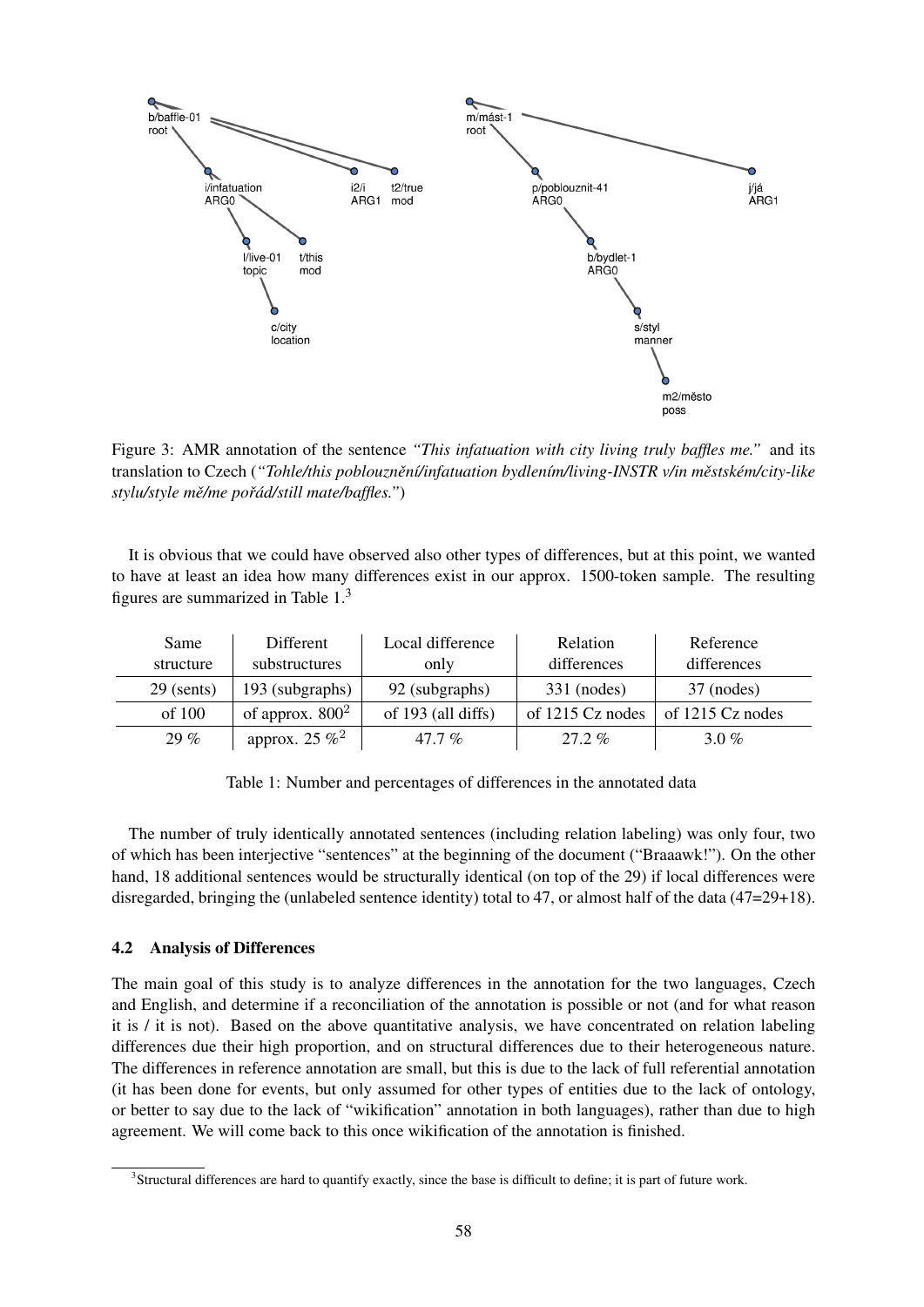

Figure 3: AMR annotation of the sentence *"This infatuation with city living truly baffles me."* and its translation to Czech (*"Tohle/this poblouznění/infatuation bydlením/living-INSTR v/in městském/city-like stylu/style me/me po ˇ rˇad/still mate/baffles." ´* )

It is obvious that we could have observed also other types of differences, but at this point, we wanted to have at least an idea how many differences exist in our approx. 1500-token sample. The resulting figures are summarized in Table 1.<sup>3</sup>

| Same         | Different          | Local difference   | Relation         | Reference        |
|--------------|--------------------|--------------------|------------------|------------------|
| structure    | substructures      | only               | differences      | differences      |
| $29$ (sents) | 193 (subgraphs)    | 92 (subgraphs)     | $331 \pmod{e}$   | 37 (nodes)       |
| of 100       | of approx. $800^2$ | of 193 (all diffs) | of 1215 Cz nodes | of 1215 Cz nodes |
| 29%          | approx. 25 $\%^2$  | 47.7 $\%$          | $27.2\%$         | 3.0 $%$          |

Table 1: Number and percentages of differences in the annotated data

The number of truly identically annotated sentences (including relation labeling) was only four, two of which has been interjective "sentences" at the beginning of the document ("Braaawk!"). On the other hand, 18 additional sentences would be structurally identical (on top of the 29) if local differences were disregarded, bringing the (unlabeled sentence identity) total to 47, or almost half of the data (47=29+18).

# 4.2 Analysis of Differences

The main goal of this study is to analyze differences in the annotation for the two languages, Czech and English, and determine if a reconciliation of the annotation is possible or not (and for what reason it is / it is not). Based on the above quantitative analysis, we have concentrated on relation labeling differences due their high proportion, and on structural differences due to their heterogeneous nature. The differences in reference annotation are small, but this is due to the lack of full referential annotation (it has been done for events, but only assumed for other types of entities due to the lack of ontology, or better to say due to the lack of "wikification" annotation in both languages), rather than due to high agreement. We will come back to this once wikification of the annotation is finished.

<sup>3</sup> Structural differences are hard to quantify exactly, since the base is difficult to define; it is part of future work.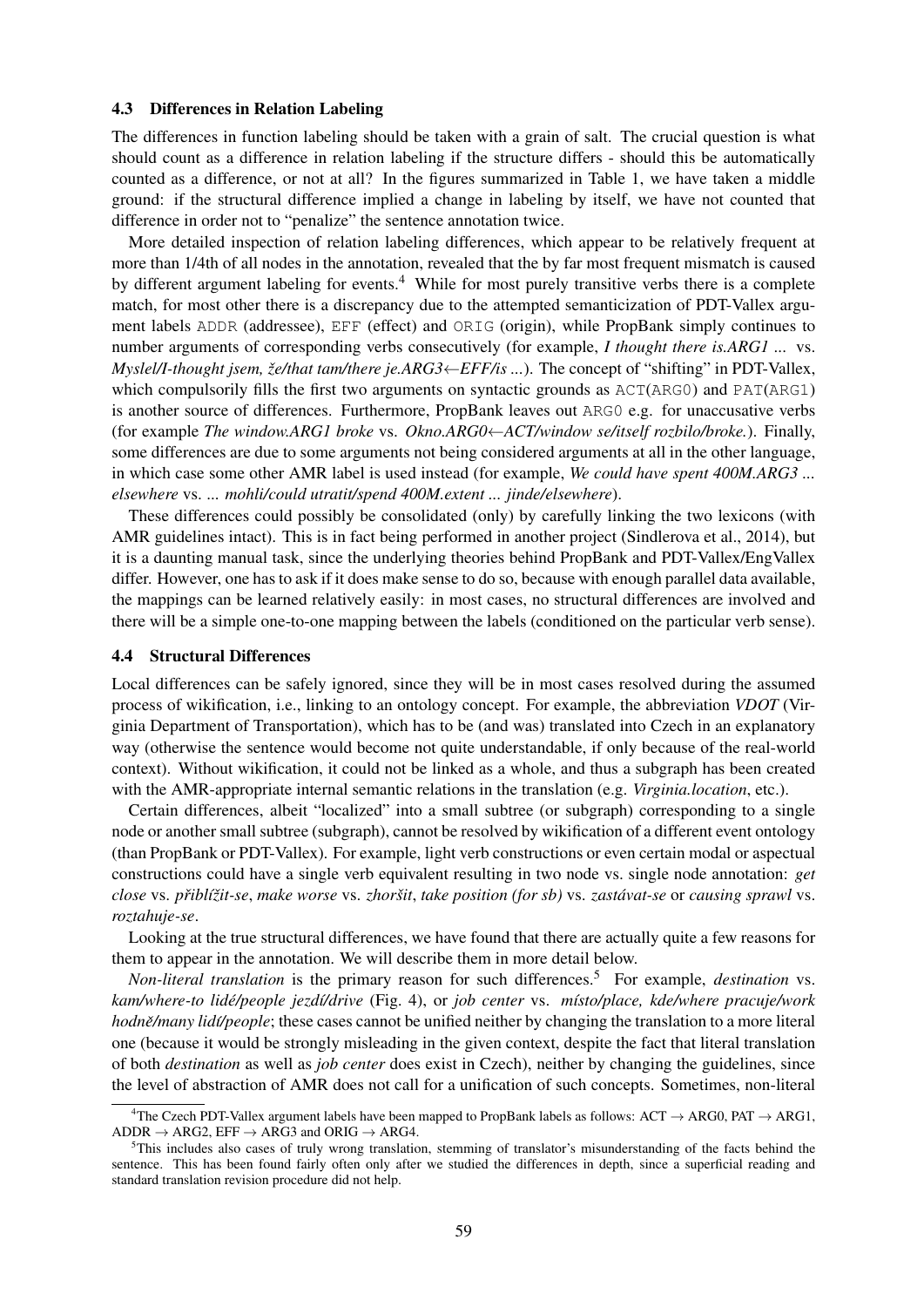#### 4.3 Differences in Relation Labeling

The differences in function labeling should be taken with a grain of salt. The crucial question is what should count as a difference in relation labeling if the structure differs - should this be automatically counted as a difference, or not at all? In the figures summarized in Table 1, we have taken a middle ground: if the structural difference implied a change in labeling by itself, we have not counted that difference in order not to "penalize" the sentence annotation twice.

More detailed inspection of relation labeling differences, which appear to be relatively frequent at more than 1/4th of all nodes in the annotation, revealed that the by far most frequent mismatch is caused by different argument labeling for events.<sup>4</sup> While for most purely transitive verbs there is a complete match, for most other there is a discrepancy due to the attempted semanticization of PDT-Vallex argument labels ADDR (addressee), EFF (effect) and ORIG (origin), while PropBank simply continues to number arguments of corresponding verbs consecutively (for example, *I thought there is.ARG1 ...* vs. *Myslel/I-thought jsem, že/that tam/there je.ARG3←EFF/is ...*). The concept of "shifting" in PDT-Vallex, which compulsorily fills the first two arguments on syntactic grounds as  $ACT(ARG0)$  and  $PATH(RGI)$ is another source of differences. Furthermore, PropBank leaves out ARG0 e.g. for unaccusative verbs (for example *The window.ARG1 broke* vs. *Okno.ARG0*←*ACT/window se/itself rozbilo/broke.*). Finally, some differences are due to some arguments not being considered arguments at all in the other language, in which case some other AMR label is used instead (for example, *We could have spent 400M.ARG3 ... elsewhere* vs. *... mohli/could utratit/spend 400M.extent ... jinde/elsewhere*).

These differences could possibly be consolidated (only) by carefully linking the two lexicons (with AMR guidelines intact). This is in fact being performed in another project (Sindlerova et al., 2014), but it is a daunting manual task, since the underlying theories behind PropBank and PDT-Vallex/EngVallex differ. However, one has to ask if it does make sense to do so, because with enough parallel data available, the mappings can be learned relatively easily: in most cases, no structural differences are involved and there will be a simple one-to-one mapping between the labels (conditioned on the particular verb sense).

#### 4.4 Structural Differences

Local differences can be safely ignored, since they will be in most cases resolved during the assumed process of wikification, i.e., linking to an ontology concept. For example, the abbreviation *VDOT* (Virginia Department of Transportation), which has to be (and was) translated into Czech in an explanatory way (otherwise the sentence would become not quite understandable, if only because of the real-world context). Without wikification, it could not be linked as a whole, and thus a subgraph has been created with the AMR-appropriate internal semantic relations in the translation (e.g. *Virginia.location*, etc.).

Certain differences, albeit "localized" into a small subtree (or subgraph) corresponding to a single node or another small subtree (subgraph), cannot be resolved by wikification of a different event ontology (than PropBank or PDT-Vallex). For example, light verb constructions or even certain modal or aspectual constructions could have a single verb equivalent resulting in two node vs. single node annotation: *get close* vs. *pribl ˇ ´ızit-se ˇ* , *make worse* vs. *zhorsit ˇ* , *take position (for sb)* vs. *zastavat-se ´* or *causing sprawl* vs. *roztahuje-se*.

Looking at the true structural differences, we have found that there are actually quite a few reasons for them to appear in the annotation. We will describe them in more detail below.

*Non-literal translation* is the primary reason for such differences.<sup>5</sup> For example, *destination* vs. *kam/where-to lide/people jezd ´ ´ı/drive* (Fig. 4), or *job center* vs. *m´ısto/place, kde/where pracuje/work hodně/many lidí/people*; these cases cannot be unified neither by changing the translation to a more literal one (because it would be strongly misleading in the given context, despite the fact that literal translation of both *destination* as well as *job center* does exist in Czech), neither by changing the guidelines, since the level of abstraction of AMR does not call for a unification of such concepts. Sometimes, non-literal

<sup>&</sup>lt;sup>4</sup>The Czech PDT-Vallex argument labels have been mapped to PropBank labels as follows: ACT  $\rightarrow$  ARG0, PAT  $\rightarrow$  ARG1, ADDR  $\rightarrow$  ARG2, EFF  $\rightarrow$  ARG3 and ORIG  $\rightarrow$  ARG4.

<sup>5</sup>This includes also cases of truly wrong translation, stemming of translator's misunderstanding of the facts behind the sentence. This has been found fairly often only after we studied the differences in depth, since a superficial reading and standard translation revision procedure did not help.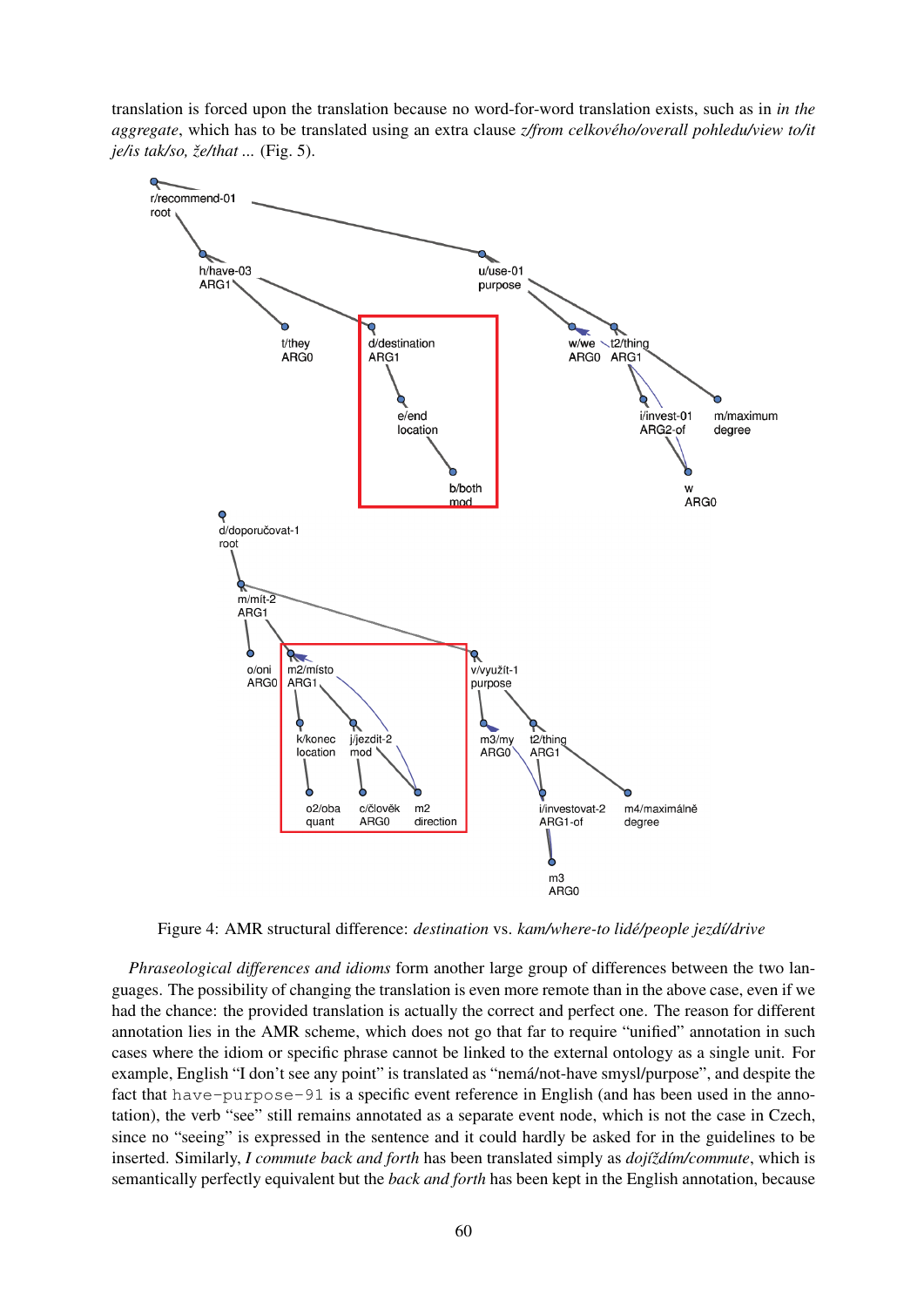translation is forced upon the translation because no word-for-word translation exists, such as in *in the aggregate*, which has to be translated using an extra clause *z/from celkoveho/overall pohledu/view to/it ´ je/is tak/so, ze/that ... ˇ* (Fig. 5).



Figure 4: AMR structural difference: *destination* vs. *kam/where-to lidé/people jezdí/drive* 

*Phraseological differences and idioms* form another large group of differences between the two languages. The possibility of changing the translation is even more remote than in the above case, even if we had the chance: the provided translation is actually the correct and perfect one. The reason for different annotation lies in the AMR scheme, which does not go that far to require "unified" annotation in such cases where the idiom or specific phrase cannot be linked to the external ontology as a single unit. For example, English "I don't see any point" is translated as "nema/not-have smysl/purpose", and despite the fact that have-purpose-91 is a specific event reference in English (and has been used in the annotation), the verb "see" still remains annotated as a separate event node, which is not the case in Czech, since no "seeing" is expressed in the sentence and it could hardly be asked for in the guidelines to be inserted. Similarly, *I commute back and forth* has been translated simply as *doj* $i\zeta$ *iam/commute*, which is semantically perfectly equivalent but the *back and forth* has been kept in the English annotation, because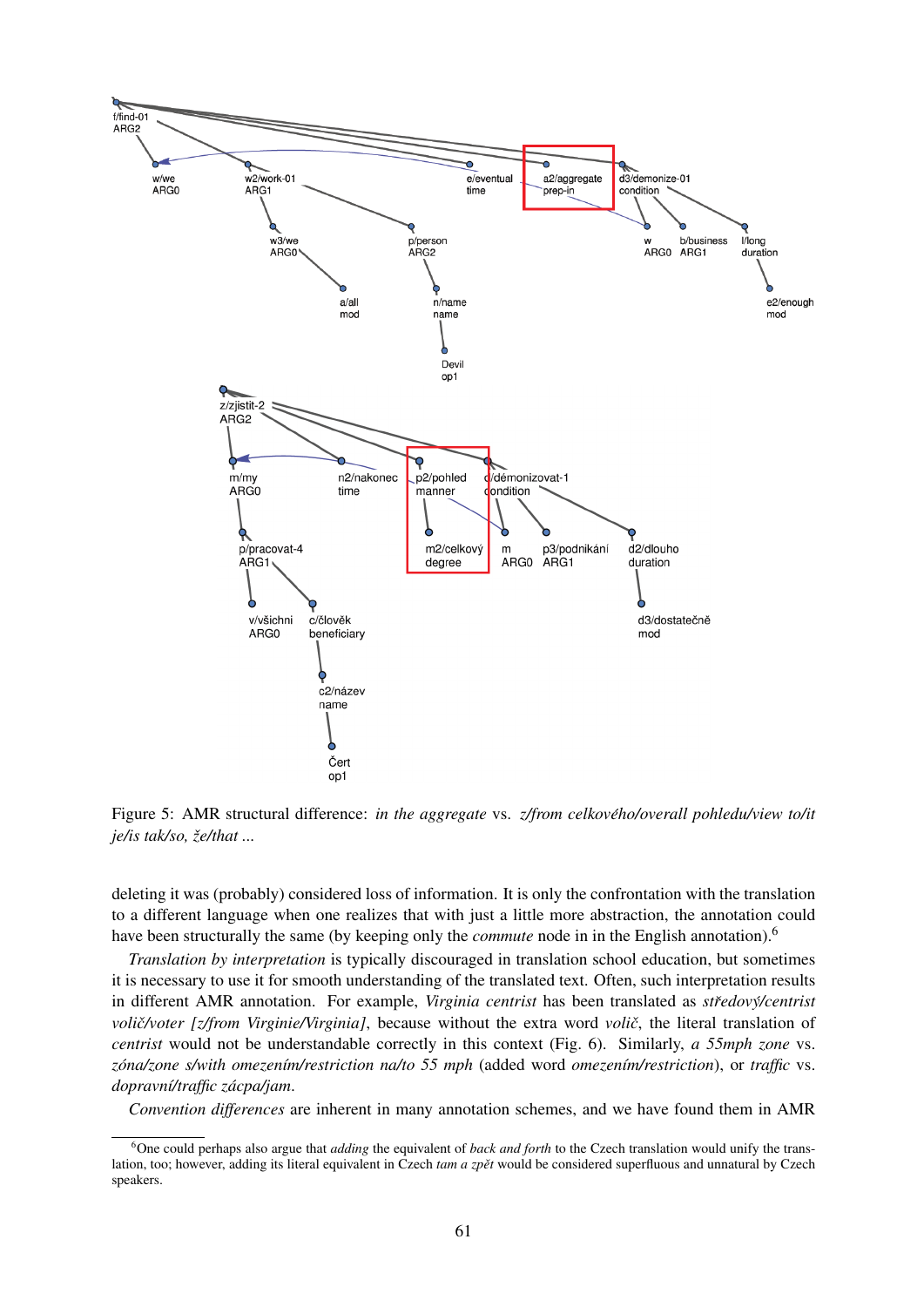

Figure 5: AMR structural difference: *in the aggregate* vs. *z/from celkoveho/overall pohledu/view to/it ´ je/is tak/so, ze/that ... ˇ*

deleting it was (probably) considered loss of information. It is only the confrontation with the translation to a different language when one realizes that with just a little more abstraction, the annotation could have been structurally the same (by keeping only the *commute* node in in the English annotation).<sup>6</sup>

*Translation by interpretation* is typically discouraged in translation school education, but sometimes it is necessary to use it for smooth understanding of the translated text. Often, such interpretation results in different AMR annotation. For example, *Virginia centrist* has been translated as *středový/centrist volič/voter [z/from Virginie/Virginia]*, because without the extra word *volič*, the literal translation of *centrist* would not be understandable correctly in this context (Fig. 6). Similarly, *a 55mph zone* vs. *zona/zone s/with omezen ´ ´ım/restriction na/to 55 mph* (added word *omezen´ım/restriction*), or *traffic* vs. *dopravn´ı/traffic zacpa/jam ´* .

*Convention differences* are inherent in many annotation schemes, and we have found them in AMR

<sup>&</sup>lt;sup>6</sup>One could perhaps also argue that *adding* the equivalent of *back and forth* to the Czech translation would unify the translation, too; however, adding its literal equivalent in Czech *tam a zpět* would be considered superfluous and unnatural by Czech speakers.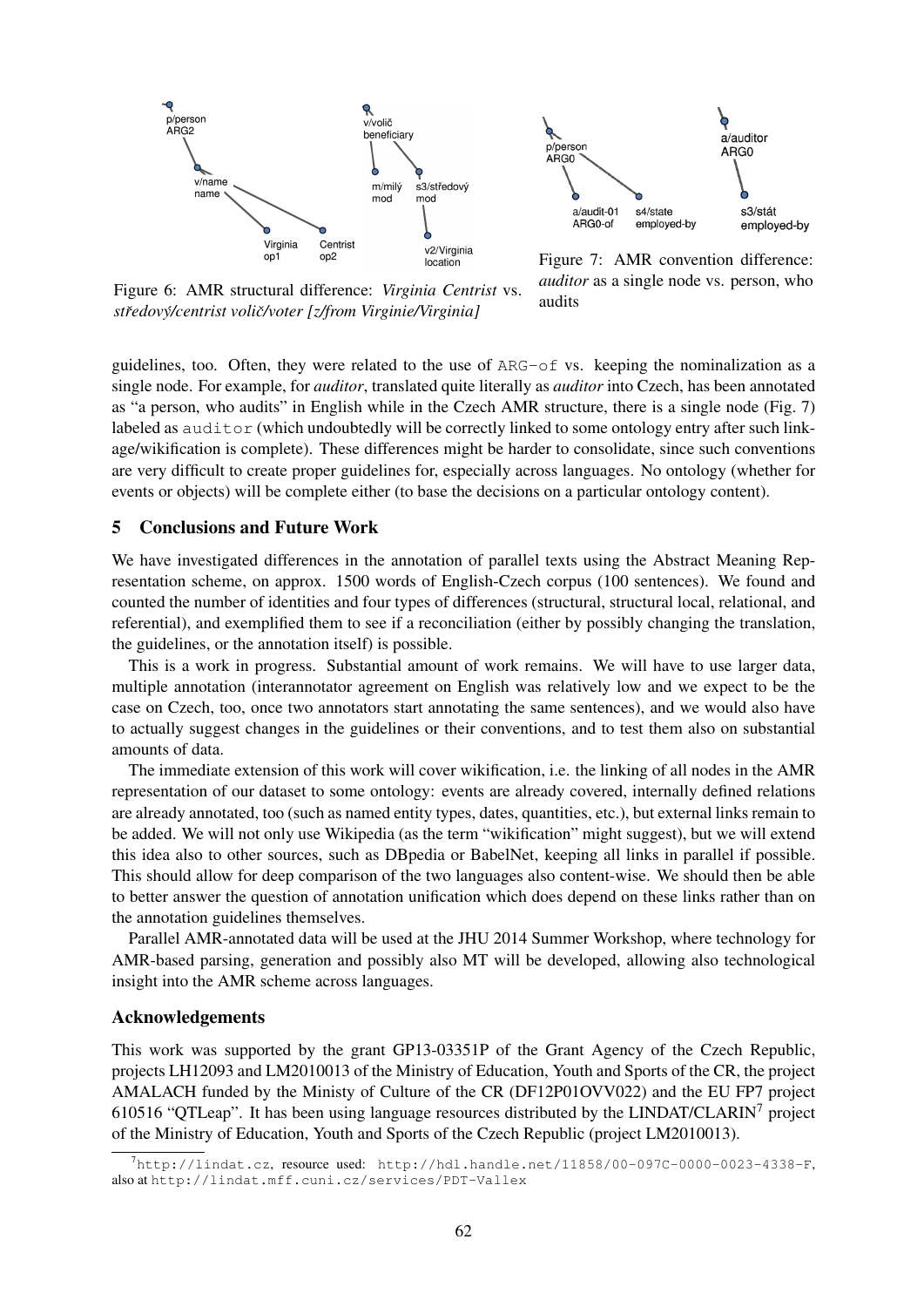



Figure 6: AMR structural difference: *Virginia Centrist* vs. *stredov ˇ y/centrist voli ´ c/voter [z/from Virginie/Virginia] ˇ*

Figure 7: AMR convention difference: *auditor* as a single node vs. person, who audits

guidelines, too. Often, they were related to the use of ARG-of vs. keeping the nominalization as a single node. For example, for *auditor*, translated quite literally as *auditor* into Czech, has been annotated as "a person, who audits" in English while in the Czech AMR structure, there is a single node (Fig. 7) labeled as auditor (which undoubtedly will be correctly linked to some ontology entry after such linkage/wikification is complete). These differences might be harder to consolidate, since such conventions are very difficult to create proper guidelines for, especially across languages. No ontology (whether for events or objects) will be complete either (to base the decisions on a particular ontology content).

#### 5 Conclusions and Future Work

We have investigated differences in the annotation of parallel texts using the Abstract Meaning Representation scheme, on approx. 1500 words of English-Czech corpus (100 sentences). We found and counted the number of identities and four types of differences (structural, structural local, relational, and referential), and exemplified them to see if a reconciliation (either by possibly changing the translation, the guidelines, or the annotation itself) is possible.

This is a work in progress. Substantial amount of work remains. We will have to use larger data, multiple annotation (interannotator agreement on English was relatively low and we expect to be the case on Czech, too, once two annotators start annotating the same sentences), and we would also have to actually suggest changes in the guidelines or their conventions, and to test them also on substantial amounts of data.

The immediate extension of this work will cover wikification, i.e. the linking of all nodes in the AMR representation of our dataset to some ontology: events are already covered, internally defined relations are already annotated, too (such as named entity types, dates, quantities, etc.), but external links remain to be added. We will not only use Wikipedia (as the term "wikification" might suggest), but we will extend this idea also to other sources, such as DBpedia or BabelNet, keeping all links in parallel if possible. This should allow for deep comparison of the two languages also content-wise. We should then be able to better answer the question of annotation unification which does depend on these links rather than on the annotation guidelines themselves.

Parallel AMR-annotated data will be used at the JHU 2014 Summer Workshop, where technology for AMR-based parsing, generation and possibly also MT will be developed, allowing also technological insight into the AMR scheme across languages.

#### Acknowledgements

This work was supported by the grant GP13-03351P of the Grant Agency of the Czech Republic, projects LH12093 and LM2010013 of the Ministry of Education, Youth and Sports of the CR, the project AMALACH funded by the Ministy of Culture of the CR (DF12P01OVV022) and the EU FP7 project 610516 "OTLeap". It has been using language resources distributed by the LINDAT/CLARIN<sup>7</sup> project of the Ministry of Education, Youth and Sports of the Czech Republic (project LM2010013).

 $^{7}$ http://lindat.cz, resource used: http://hdl.handle.net/11858/00-097C-0000-0023-4338-F, also at http://lindat.mff.cuni.cz/services/PDT-Vallex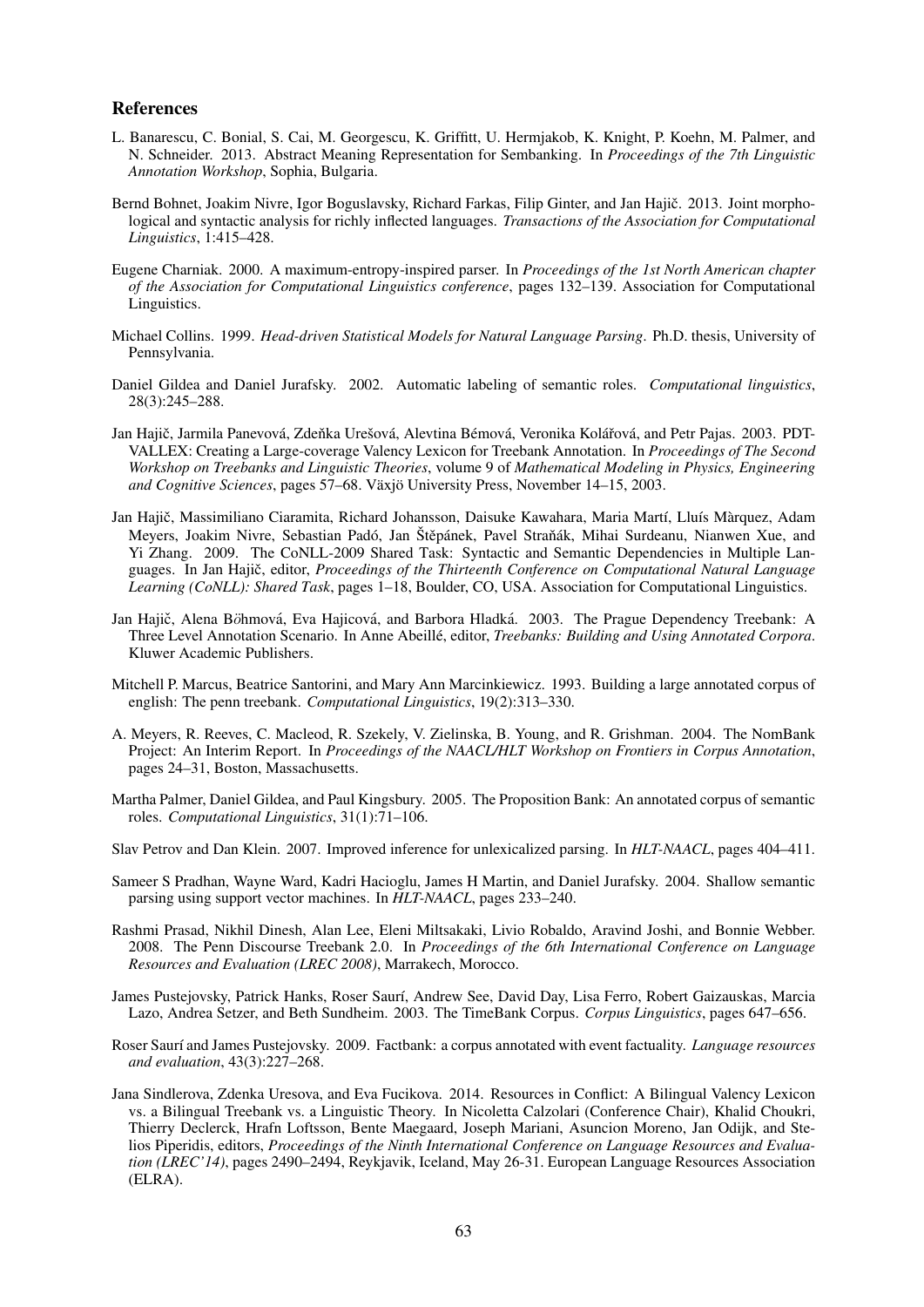#### References

- L. Banarescu, C. Bonial, S. Cai, M. Georgescu, K. Griffitt, U. Hermjakob, K. Knight, P. Koehn, M. Palmer, and N. Schneider. 2013. Abstract Meaning Representation for Sembanking. In *Proceedings of the 7th Linguistic Annotation Workshop*, Sophia, Bulgaria.
- Bernd Bohnet, Joakim Nivre, Igor Boguslavsky, Richard Farkas, Filip Ginter, and Jan Hajič. 2013. Joint morphological and syntactic analysis for richly inflected languages. *Transactions of the Association for Computational Linguistics*, 1:415–428.
- Eugene Charniak. 2000. A maximum-entropy-inspired parser. In *Proceedings of the 1st North American chapter of the Association for Computational Linguistics conference*, pages 132–139. Association for Computational Linguistics.
- Michael Collins. 1999. *Head-driven Statistical Models for Natural Language Parsing*. Ph.D. thesis, University of Pennsylvania.
- Daniel Gildea and Daniel Jurafsky. 2002. Automatic labeling of semantic roles. *Computational linguistics*, 28(3):245–288.
- Jan Hajič, Jarmila Panevová, Zdeňka Urešová, Alevtina Bémová, Veronika Kolářová, and Petr Pajas. 2003. PDT-VALLEX: Creating a Large-coverage Valency Lexicon for Treebank Annotation. In *Proceedings of The Second Workshop on Treebanks and Linguistic Theories*, volume 9 of *Mathematical Modeling in Physics, Engineering and Cognitive Sciences, pages 57–68. Växjö University Press, November 14–15, 2003.*
- Jan Hajič, Massimiliano Ciaramita, Richard Johansson, Daisuke Kawahara, Maria Martí, Lluís Màrquez, Adam Meyers, Joakim Nivre, Sebastian Padó, Jan Štěpánek, Pavel Straňák, Mihai Surdeanu, Nianwen Xue, and Yi Zhang. 2009. The CoNLL-2009 Shared Task: Syntactic and Semantic Dependencies in Multiple Languages. In Jan Hajič, editor, *Proceedings of the Thirteenth Conference on Computational Natural Language Learning (CoNLL): Shared Task*, pages 1–18, Boulder, CO, USA. Association for Computational Linguistics.
- Jan Hajič, Alena Böhmová, Eva Hajicová, and Barbora Hladká. 2003. The Prague Dependency Treebank: A Three Level Annotation Scenario. In Anne Abeillé, editor, *Treebanks: Building and Using Annotated Corpora*. Kluwer Academic Publishers.
- Mitchell P. Marcus, Beatrice Santorini, and Mary Ann Marcinkiewicz. 1993. Building a large annotated corpus of english: The penn treebank. *Computational Linguistics*, 19(2):313–330.
- A. Meyers, R. Reeves, C. Macleod, R. Szekely, V. Zielinska, B. Young, and R. Grishman. 2004. The NomBank Project: An Interim Report. In *Proceedings of the NAACL/HLT Workshop on Frontiers in Corpus Annotation*, pages 24–31, Boston, Massachusetts.
- Martha Palmer, Daniel Gildea, and Paul Kingsbury. 2005. The Proposition Bank: An annotated corpus of semantic roles. *Computational Linguistics*, 31(1):71–106.
- Slav Petrov and Dan Klein. 2007. Improved inference for unlexicalized parsing. In *HLT-NAACL*, pages 404–411.
- Sameer S Pradhan, Wayne Ward, Kadri Hacioglu, James H Martin, and Daniel Jurafsky. 2004. Shallow semantic parsing using support vector machines. In *HLT-NAACL*, pages 233–240.
- Rashmi Prasad, Nikhil Dinesh, Alan Lee, Eleni Miltsakaki, Livio Robaldo, Aravind Joshi, and Bonnie Webber. 2008. The Penn Discourse Treebank 2.0. In *Proceedings of the 6th International Conference on Language Resources and Evaluation (LREC 2008)*, Marrakech, Morocco.
- James Pustejovsky, Patrick Hanks, Roser Saur´ı, Andrew See, David Day, Lisa Ferro, Robert Gaizauskas, Marcia Lazo, Andrea Setzer, and Beth Sundheim. 2003. The TimeBank Corpus. *Corpus Linguistics*, pages 647–656.
- Roser Saurí and James Pustejovsky. 2009. Factbank: a corpus annotated with event factuality. *Language resources and evaluation*, 43(3):227–268.
- Jana Sindlerova, Zdenka Uresova, and Eva Fucikova. 2014. Resources in Conflict: A Bilingual Valency Lexicon vs. a Bilingual Treebank vs. a Linguistic Theory. In Nicoletta Calzolari (Conference Chair), Khalid Choukri, Thierry Declerck, Hrafn Loftsson, Bente Maegaard, Joseph Mariani, Asuncion Moreno, Jan Odijk, and Stelios Piperidis, editors, *Proceedings of the Ninth International Conference on Language Resources and Evaluation (LREC'14)*, pages 2490–2494, Reykjavik, Iceland, May 26-31. European Language Resources Association (ELRA).